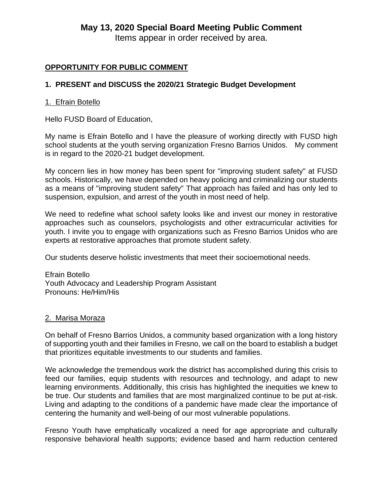## **May 13, 2020 Special Board Meeting Public Comment**

Items appear in order received by area.

### **OPPORTUNITY FOR PUBLIC COMMENT**

### **1. PRESENT and DISCUSS the 2020/21 Strategic Budget Development**

#### 1. Efrain Botello

Hello FUSD Board of Education,

My name is Efrain Botello and I have the pleasure of working directly with FUSD high school students at the youth serving organization Fresno Barrios Unidos. My comment is in regard to the 2020-21 budget development.

My concern lies in how money has been spent for "improving student safety" at FUSD schools. Historically, we have depended on heavy policing and criminalizing our students as a means of "improving student safety" That approach has failed and has only led to suspension, expulsion, and arrest of the youth in most need of help.

We need to redefine what school safety looks like and invest our money in restorative approaches such as counselors, psychologists and other extracurricular activities for youth. I invite you to engage with organizations such as Fresno Barrios Unidos who are experts at restorative approaches that promote student safety.

Our students deserve holistic investments that meet their socioemotional needs.

Efrain Botello Youth Advocacy and Leadership Program Assistant Pronouns: He/Him/His

#### 2. Marisa Moraza

On behalf of Fresno Barrios Unidos, a community based organization with a long history of supporting youth and their families in Fresno, we call on the board to establish a budget that prioritizes equitable investments to our students and families.

We acknowledge the tremendous work the district has accomplished during this crisis to feed our families, equip students with resources and technology, and adapt to new learning environments. Additionally, this crisis has highlighted the inequities we knew to be true. Our students and families that are most marginalized continue to be put at-risk. Living and adapting to the conditions of a pandemic have made clear the importance of centering the humanity and well-being of our most vulnerable populations.

Fresno Youth have emphatically vocalized a need for age appropriate and culturally responsive behavioral health supports; evidence based and harm reduction centered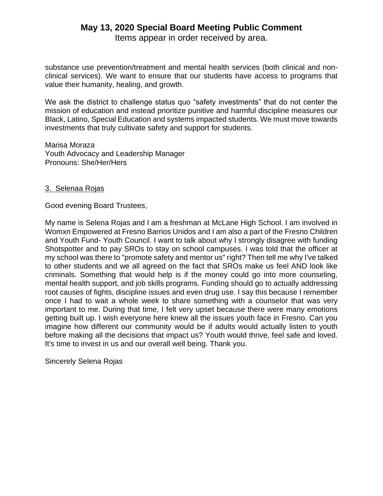# **May 13, 2020 Special Board Meeting Public Comment**

Items appear in order received by area.

substance use prevention/treatment and mental health services (both clinical and nonclinical services). We want to ensure that our students have access to programs that value their humanity, healing, and growth.

We ask the district to challenge status quo "safety investments" that do not center the mission of education and instead prioritize punitive and harmful discipline measures our Black, Latino, Special Education and systems impacted students. We must move towards investments that truly cultivate safety and support for students.

Marisa Moraza Youth Advocacy and Leadership Manager Pronouns: She/Her/Hers

### 3. Selenaa Rojas

Good evening Board Trustees,

My name is Selena Rojas and I am a freshman at McLane High School. I am involved in Womxn Empowered at Fresno Barrios Unidos and I am also a part of the Fresno Children and Youth Fund- Youth Council. I want to talk about why I strongly disagree with funding Shotspotter and to pay SROs to stay on school campuses. I was told that the officer at my school was there to "promote safety and mentor us" right? Then tell me why I've talked to other students and we all agreed on the fact that SROs make us feel AND look like criminals. Something that would help is if the money could go into more counseling, mental health support, and job skills programs. Funding should go to actually addressing root causes of fights, discipline issues and even drug use. I say this because I remember once I had to wait a whole week to share something with a counselor that was very important to me. During that time, I felt very upset because there were many emotions getting built up. I wish everyone here knew all the issues youth face in Fresno. Can you imagine how different our community would be if adults would actually listen to youth before making all the decisions that impact us? Youth would thrive, feel safe and loved. It's time to invest in us and our overall well being. Thank you.

Sincerely Selena Rojas